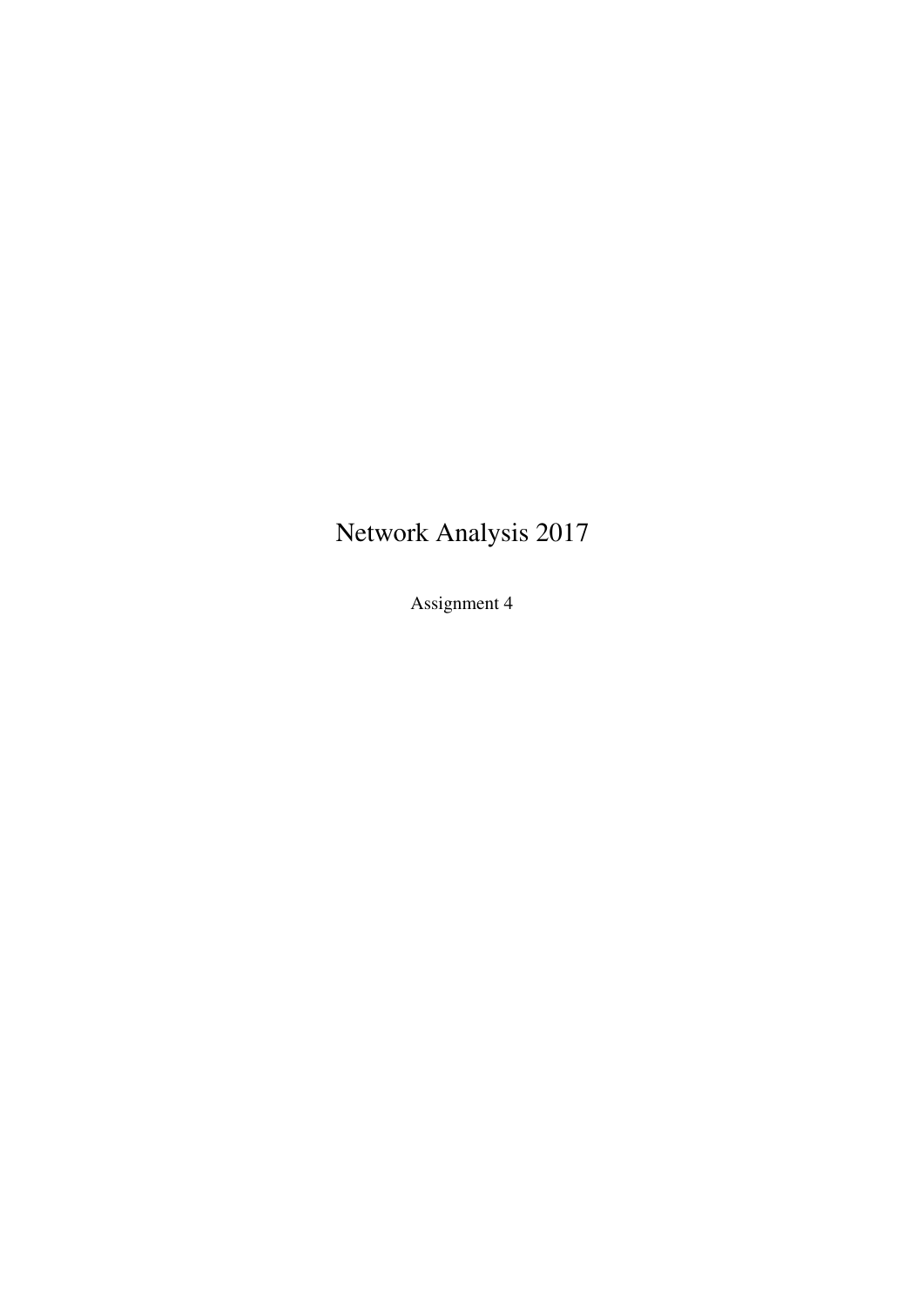# Network Analysis 2017

Assignment 4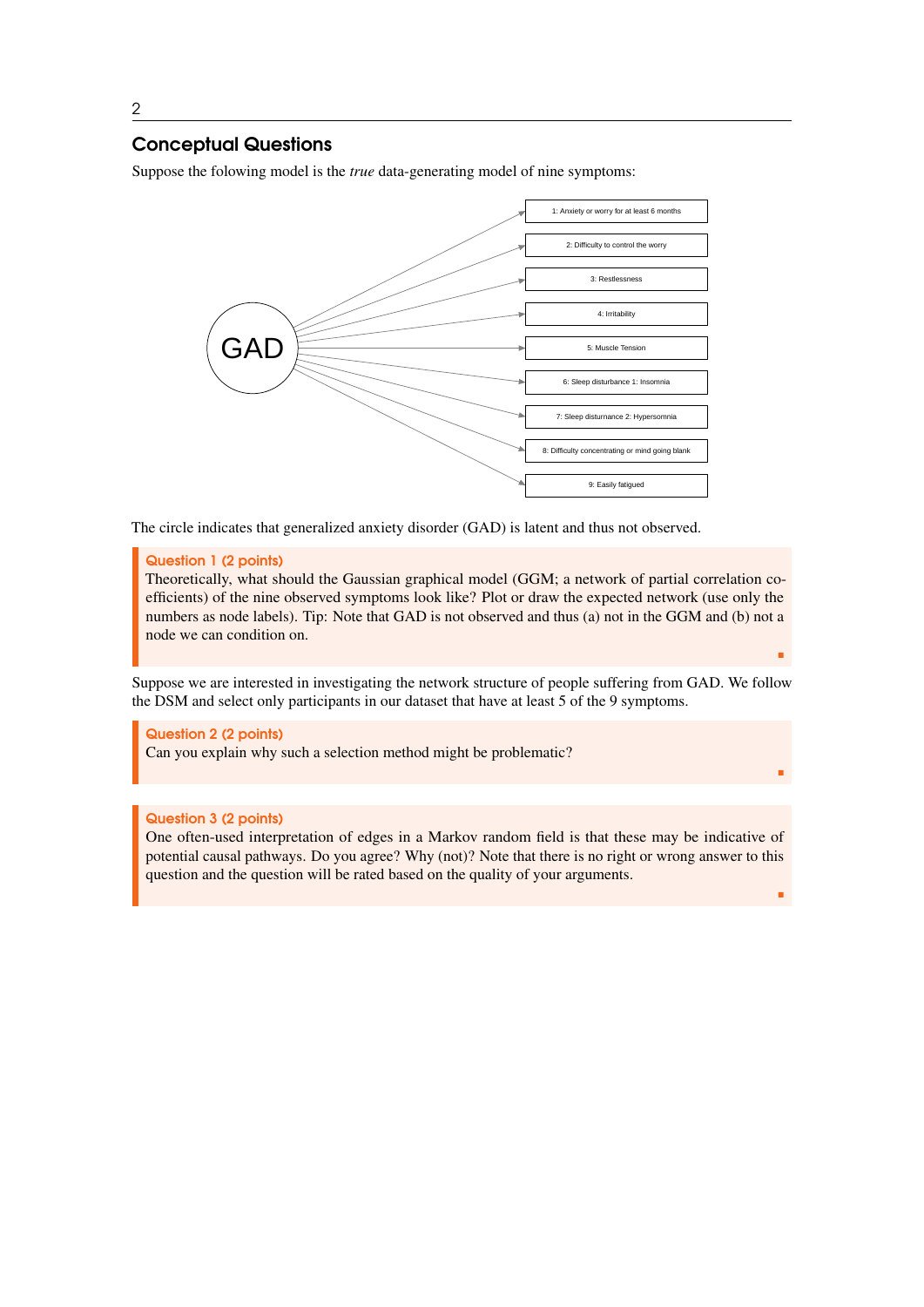# Conceptual Questions

Suppose the folowing model is the *true* data-generating model of nine symptoms:



The circle indicates that generalized anxiety disorder (GAD) is latent and thus not observed.

#### Question 1 (2 points)

Theoretically, what should the Gaussian graphical model (GGM; a network of partial correlation coefficients) of the nine observed symptoms look like? Plot or draw the expected network (use only the numbers as node labels). Tip: Note that GAD is not observed and thus (a) not in the GGM and (b) not a node we can condition on.

г

٠

г

Suppose we are interested in investigating the network structure of people suffering from GAD. We follow the DSM and select only participants in our dataset that have at least 5 of the 9 symptoms.

Question 2 (2 points) Can you explain why such a selection method might be problematic?

## Question 3 (2 points)

One often-used interpretation of edges in a Markov random field is that these may be indicative of potential causal pathways. Do you agree? Why (not)? Note that there is no right or wrong answer to this question and the question will be rated based on the quality of your arguments.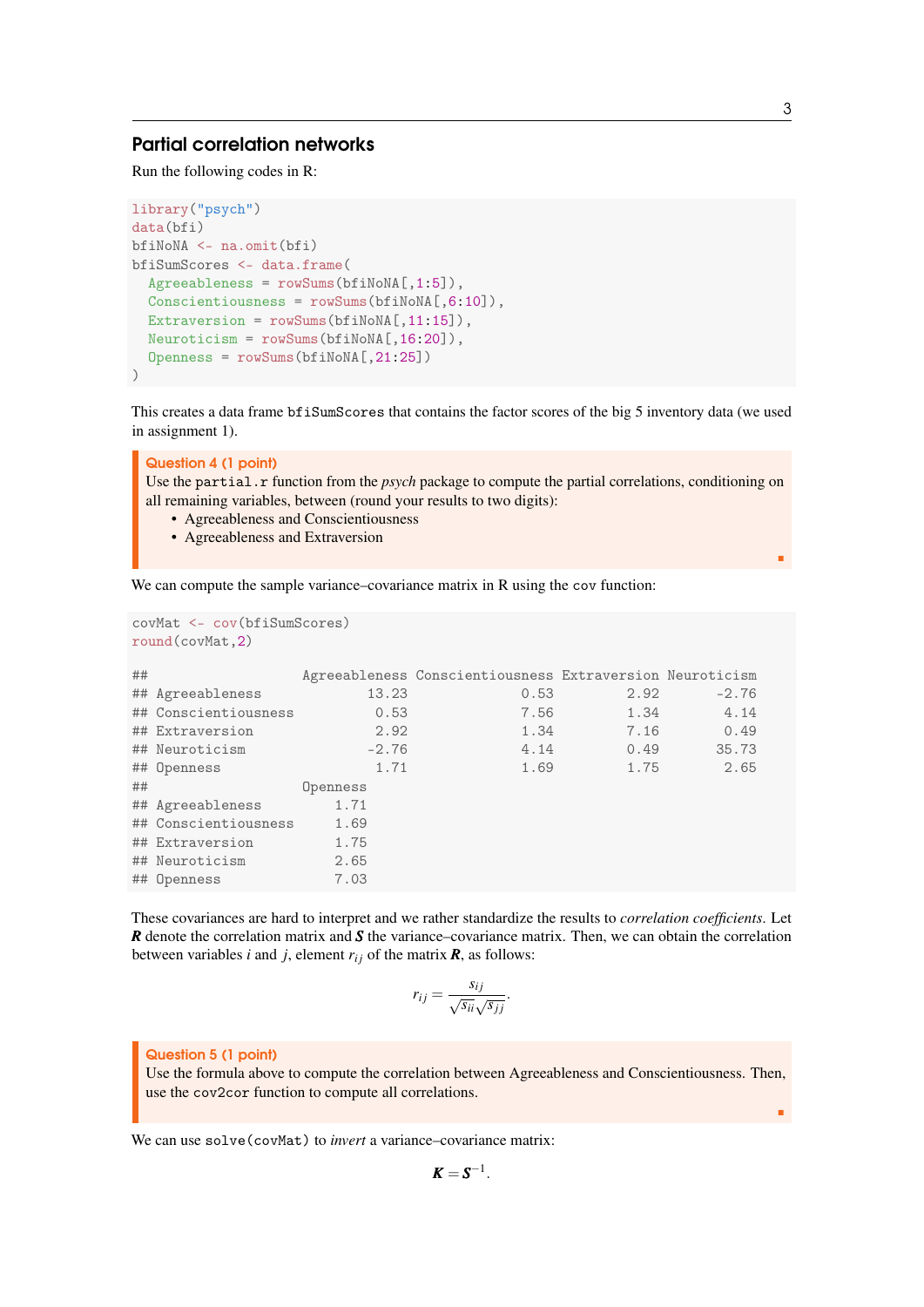## Partial correlation networks

Run the following codes in R:

```
library("psych")
data(bfi)
bfiNoNA <- na.omit(bfi)
bfiSumScores <- data.frame(
  Agreebleness = rowSums(bfilmonA[, 1:5].
  Conscientiousness = rowSums(bfilmonA[, 6:10]),Extraversion = rowSums(bfilmonA[, 11:15]),
  Neuroticism = rowSums(bfiNoNA[,16:20]),
  Openness = rowSums(bfiNoNA[,21:25])
)
```
This creates a data frame bfiSumScores that contains the factor scores of the big 5 inventory data (we used in assignment 1).

Question 4 (1 point) Use the partial.r function from the *psych* package to compute the partial correlations, conditioning on all remaining variables, between (round your results to two digits):

- Agreeableness and Conscientiousness
- Agreeableness and Extraversion

We can compute the sample variance–covariance matrix in R using the cov function:

```
covMat <- cov(bfiSumScores)
round(covMat,2)
```

| ## |                      |          | Agreeableness Conscientiousness Extraversion Neuroticism |      |         |
|----|----------------------|----------|----------------------------------------------------------|------|---------|
|    | ## Agreeableness     | 13.23    | 0.53                                                     | 2.92 | $-2.76$ |
|    | ## Conscientiousness | 0.53     | 7.56                                                     | 1.34 | 4.14    |
|    | ## Extraversion      | 2.92     | 1.34                                                     | 7.16 | 0.49    |
|    | ## Neuroticism       | $-2.76$  | 4.14                                                     | 0.49 | 35.73   |
|    | ## Openness          | 1.71     | 1.69                                                     | 1.75 | 2.65    |
| ## |                      | Openness |                                                          |      |         |
|    | ## Agreeableness     | 1.71     |                                                          |      |         |
|    | ## Conscientiousness | 1.69     |                                                          |      |         |
|    | ## Extraversion      | 1.75     |                                                          |      |         |
|    | ## Neuroticism       | 2.65     |                                                          |      |         |
|    | ## Openness          | 7.03     |                                                          |      |         |

These covariances are hard to interpret and we rather standardize the results to *correlation coefficients*. Let *R* denote the correlation matrix and *S* the variance–covariance matrix. Then, we can obtain the correlation between variables *i* and *j*, element  $r_{ij}$  of the matrix  $\mathbf{R}$ , as follows:

$$
r_{ij} = \frac{s_{ij}}{\sqrt{s_{ii}}\sqrt{s_{jj}}}.
$$

#### Question 5 (1 point)

Use the formula above to compute the correlation between Agreeableness and Conscientiousness. Then, use the cov2cor function to compute all correlations.

We can use solve(covMat) to *invert* a variance–covariance matrix:

$$
K=S^{-1}.
$$

٠

г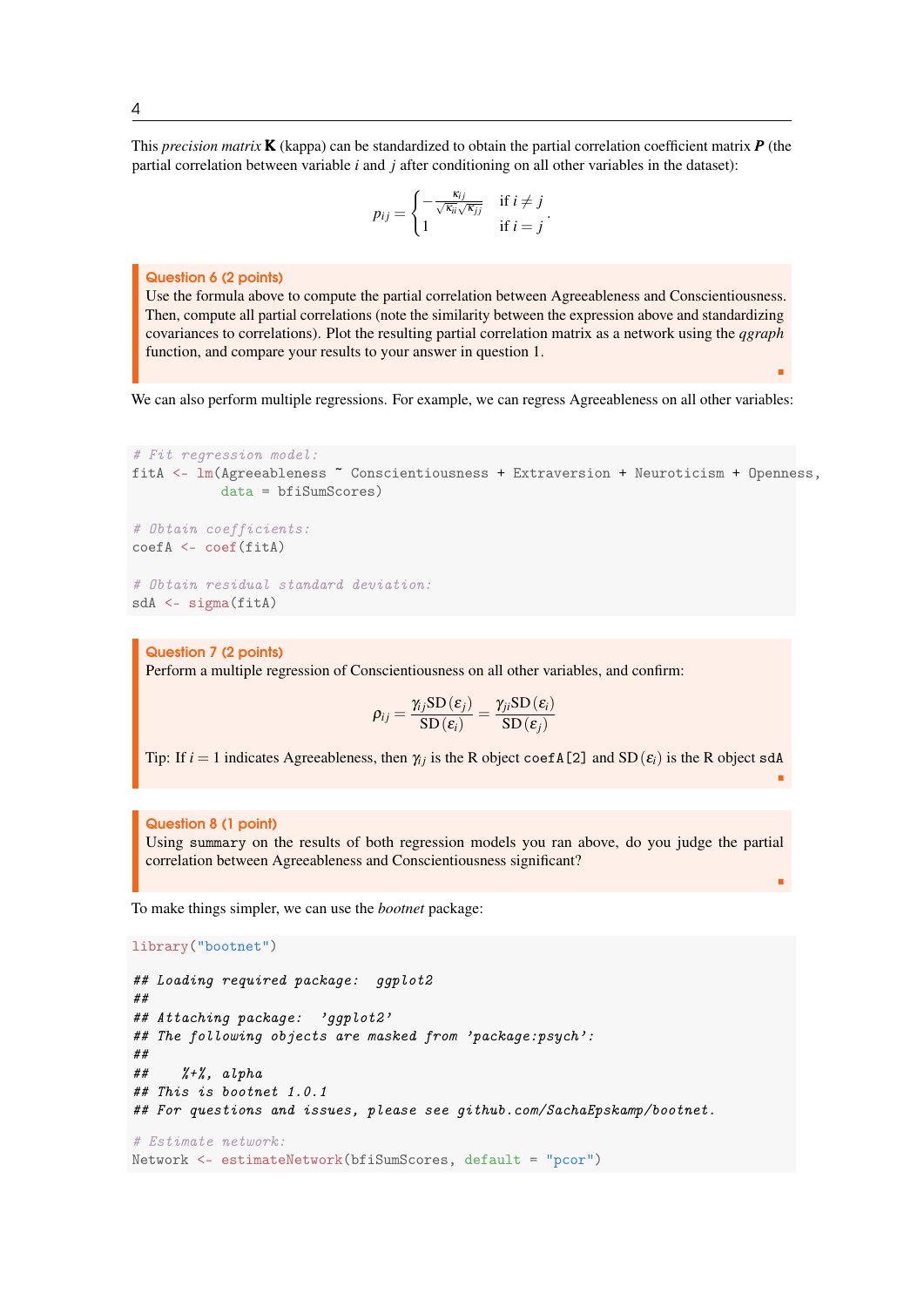This *precision matrix* K (kappa) can be standardized to obtain the partial correlation coefficient matrix *P* (the partial correlation between variable *i* and *j* after conditioning on all other variables in the dataset):

$$
p_{ij} = \begin{cases} -\frac{\kappa_{ij}}{\sqrt{\kappa_{ii}}\sqrt{\kappa_{jj}}} & \text{if } i \neq j \\ 1 & \text{if } i = j \end{cases}.
$$

#### Question 6 (2 points)

Use the formula above to compute the partial correlation between Agreeableness and Conscientiousness. Then, compute all partial correlations (note the similarity between the expression above and standardizing covariances to correlations). Plot the resulting partial correlation matrix as a network using the *qgraph* function, and compare your results to your answer in question 1.

We can also perform multiple regressions. For example, we can regress Agreeableness on all other variables:

г

г

п

```
# Fit regression model:
fitA <- lm(Agreeableness ~ Conscientiousness + Extraversion + Neuroticism + Openness,
           data = bfiSumScores)
# Obtain coefficients:
coefA <- coef(fitA)
# Obtain residual standard deviation:
```

```
sdA <- sigma(fitA)
```
Question 7 (2 points) Perform a multiple regression of Conscientiousness on all other variables, and confirm:

$$
\rho_{ij} = \frac{\gamma_{ij}\mathrm{SD}\left(\varepsilon_{j}\right)}{\mathrm{SD}\left(\varepsilon_{i}\right)} = \frac{\gamma_{ji}\mathrm{SD}\left(\varepsilon_{i}\right)}{\mathrm{SD}\left(\varepsilon_{j}\right)}
$$

Tip: If  $i = 1$  indicates Agreeableness, then  $\gamma_i$  is the R object coef A[2] and SD( $\varepsilon_i$ ) is the R object sdA

#### Question 8 (1 point)

Using summary on the results of both regression models you ran above, do you judge the partial correlation between Agreeableness and Conscientiousness significant?

To make things simpler, we can use the *bootnet* package:

```
library("bootnet")
## Loading required package: ggplot2
```

```
##
## Attaching package: 'ggplot2'
## The following objects are masked from 'package:psych':
##
## %+%, alpha
## This is bootnet 1.0.1
## For questions and issues, please see github.com/SachaEpskamp/bootnet.
# Estimate network:
Network <- estimateNetwork(bfiSumScores, default = "pcor")
```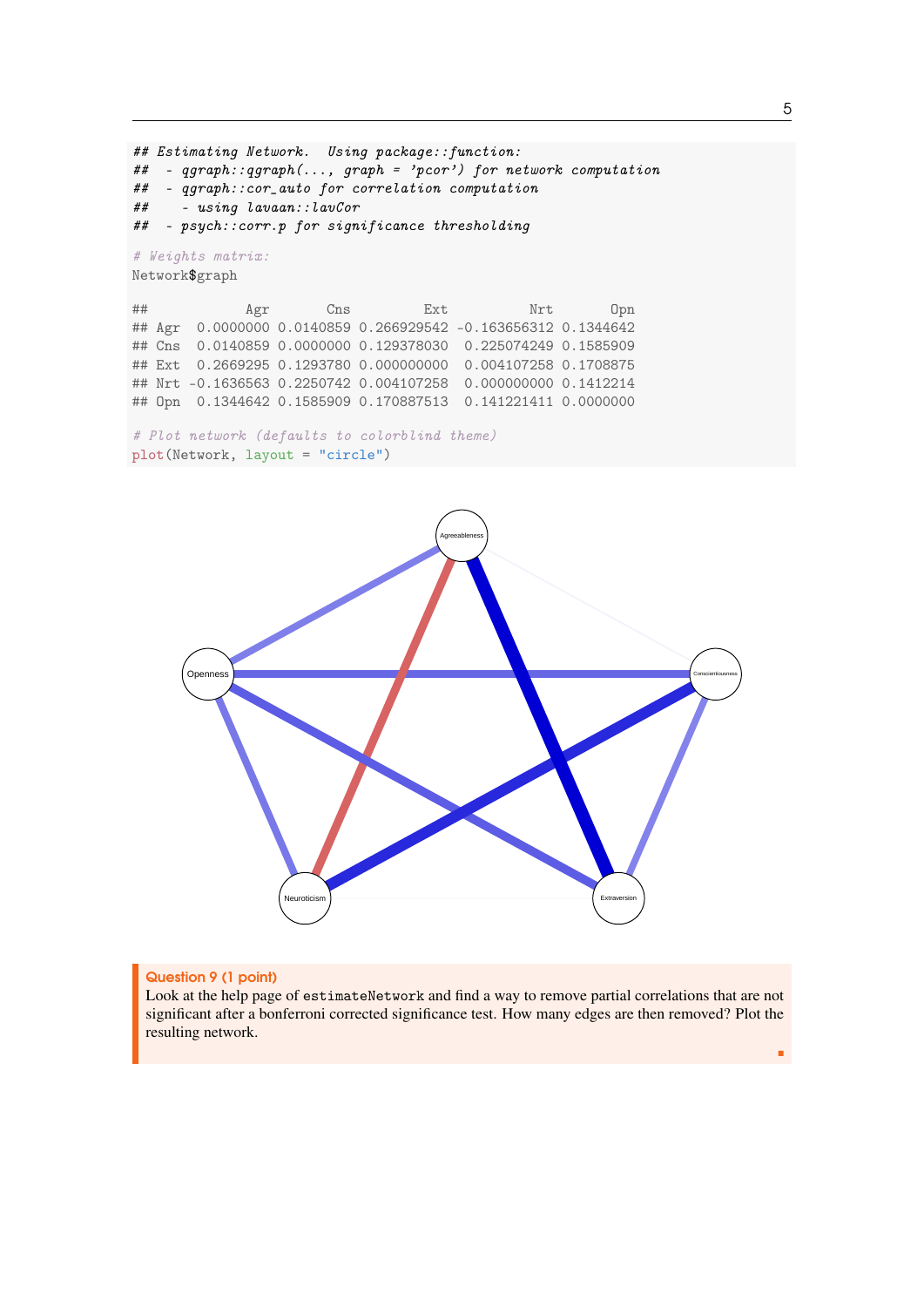```
## Estimating Network. Using package::function:
## - qgraph::qgraph(..., graph = 'pcor') for network computation
## - qgraph::cor_auto for correlation computation
## - using lavaan::lavCor
## - psych::corr.p for significance thresholding
# Weights matrix:
Network$graph
## Agr Cns Ext Nrt Opn
## Agr 0.0000000 0.0140859 0.266929542 -0.163656312 0.1344642
## Cns 0.0140859 0.0000000 0.129378030 0.225074249 0.1585909
## Ext 0.2669295 0.1293780 0.000000000 0.004107258 0.1708875
## Nrt -0.1636563 0.2250742 0.004107258 0.000000000 0.1412214
## Opn 0.1344642 0.1585909 0.170887513 0.141221411 0.0000000
```

```
# Plot network (defaults to colorblind theme)
plot(Network, layout = "circle")
```


## Question 9 (1 point)

Look at the help page of estimateNetwork and find a way to remove partial correlations that are not significant after a bonferroni corrected significance test. How many edges are then removed? Plot the resulting network.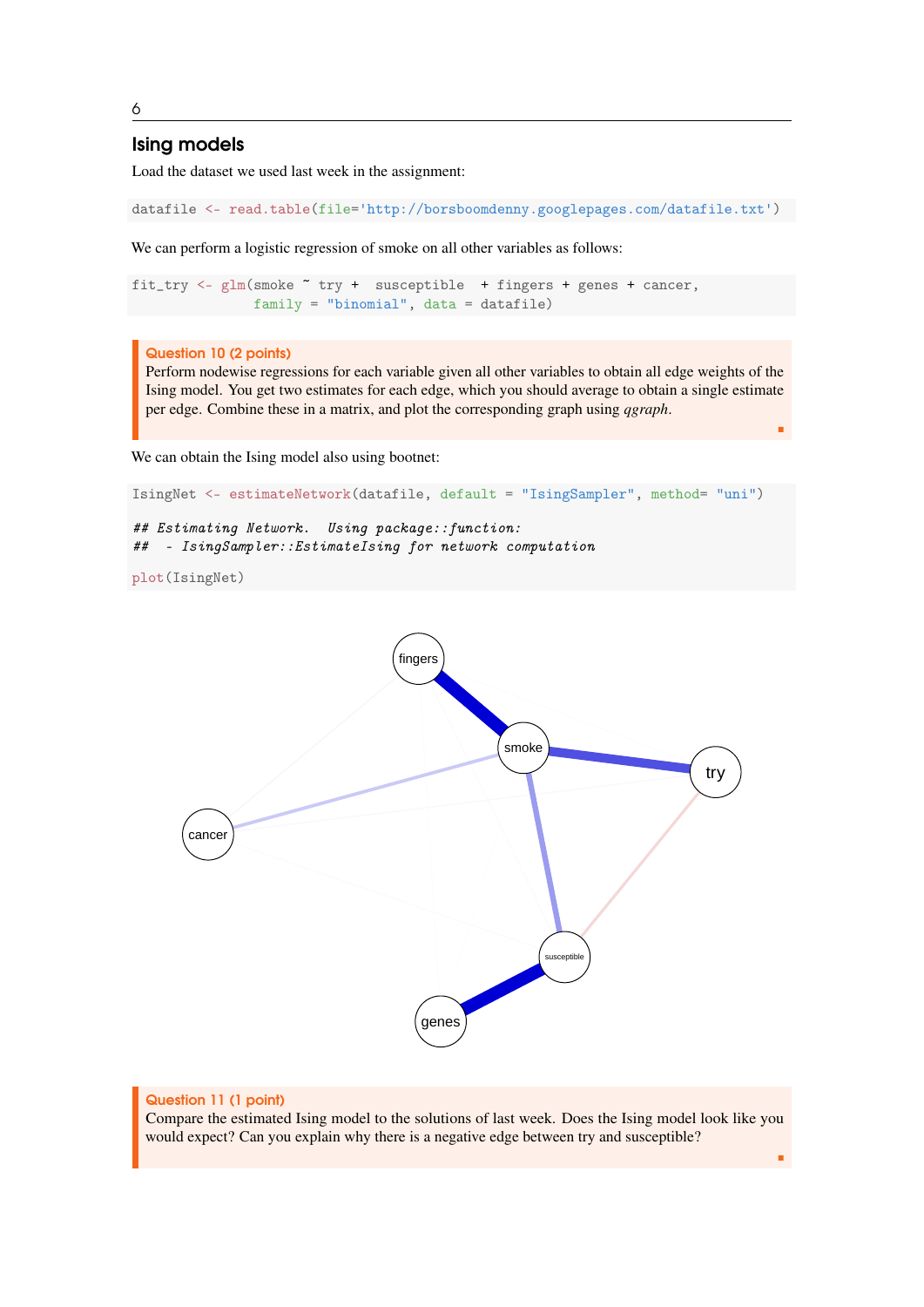# Ising models

Load the dataset we used last week in the assignment:

```
datafile <- read.table(file='http://borsboomdenny.googlepages.com/datafile.txt')
```
We can perform a logistic regression of smoke on all other variables as follows:

```
fit_try <- glm(smoke ~ try + susceptible + fingers + genes + cancer,
              family = "binomial", data = datafile)
```
## Question 10 (2 points)

Perform nodewise regressions for each variable given all other variables to obtain all edge weights of the Ising model. You get two estimates for each edge, which you should average to obtain a single estimate per edge. Combine these in a matrix, and plot the corresponding graph using *qgraph*.

г

٠

We can obtain the Ising model also using bootnet:

```
IsingNet <- estimateNetwork(datafile, default = "IsingSampler", method= "uni")
## Estimating Network. Using package::function:
## - IsingSampler::EstimateIsing for network computation
plot(IsingNet)
```


6